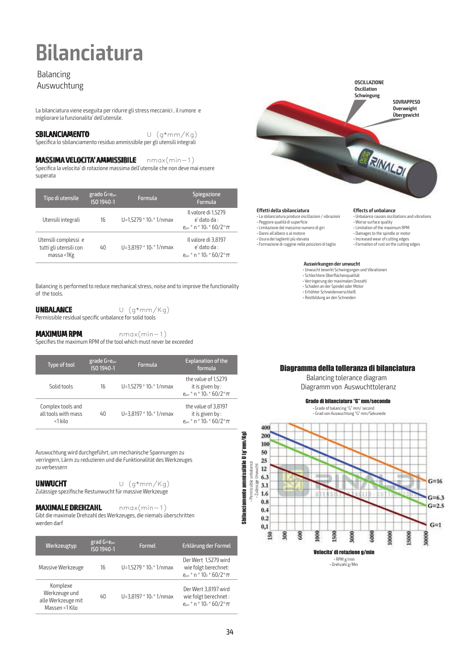## **Bilanciatura**

## Balancing Auswuchtung

La bilanciatura viene eseguita per ridurre gli stress meccanici , il rumore e migliorare la funzionalita' dell'utensile.

#### **SBILANCIAMENTO** U (g\*mm/Kg)

Specifica lo sbilanciamento residuo ammissibile per gli utensili integrali

### **MASSIMA VELOCITA' AMMISSIBILE** nmax(min-1)

Specifica la velocita' di rotazione massima dell'utensile che non deve mai essere superata

| Tipo di utensile                                             | $grado G = e_{per}$<br>ISO 1940-1 | Formula                        | <b>Spiegazione</b><br>Formula                                                                  |
|--------------------------------------------------------------|-----------------------------------|--------------------------------|------------------------------------------------------------------------------------------------|
| Utensili integrali                                           | 16                                | U=1,5279 $*$ 10 $s$ $*$ 1/nmax | Il valore di 1,5279<br>$e'$ dato da :<br>$e_{per}$ * n * 10 <sub>3</sub> * 60/2 * $\pi$        |
| Utensili complessi e<br>tutti gli utensili con<br>massa <1Kg | 40                                | $U=3,8197 * 10s * 1/nmax$      | Il valore di 3,8197<br>$e'$ dato da :<br>$e_{\text{per}}$ * n * 10 <sub>3</sub> * 60/2 * $\pi$ |

Balancing is performed to reduce mechanical stress, noise and to improve the functionality of the tools.

## **UNBALANCE** U (g\*mm/Kg)

Permissible residual specific unbalance for solid tools

### **MAXIMUM RPM nmax(min-1)**

Specifies the maximum RPM of the tool which must never be exceeded

| Type of tool                                        | grade $G = e_{per}$<br>ISO 1940-1 | Formula                        | <b>Explanation of the</b><br>formula                                                            |
|-----------------------------------------------------|-----------------------------------|--------------------------------|-------------------------------------------------------------------------------------------------|
| Solid tools                                         | 16                                | U=1,5279 $*$ 10 $s$ $*$ 1/nmax | the value of 1,5279<br>it is given by:<br>$e_{per}$ * n * 10 <sub>3</sub> * 60/2 * $\pi$        |
| Complex tools and<br>all tools with mass<br><1 kilo | 40                                | $U=3,8197 * 10s * 1/nmax$      | the value of 3,8197<br>it is given by:<br>$e_{\text{per}}$ * n * 10 <sub>3</sub> * 60/2 * $\pi$ |

Auswuchtung wird durchgeführt, um mechanische Spannungen zu verringern, Lärm zu reduzieren und die Funktionalität des Werkzeuges zu verbessern

## **UNWUCHT** U (g\*mm/Kg)

Zulässige spezifische Restunwucht für massive Werkzeuge

#### **MAXIMALE DREHZAHL** nmax(min-1)

Gibt die maximale Drehzahl des Werkzeuges, die niemals überschritten werden darf

| Werkzeugtyp                                                       | $grad G = e_{per}$<br>ISO 1940-1 | <b>Formel</b>                  | Erklärung der Formel                                                                                   |
|-------------------------------------------------------------------|----------------------------------|--------------------------------|--------------------------------------------------------------------------------------------------------|
| Massive Werkzeuge                                                 | 16                               | U=1,5279 $*$ 10 $s$ $*$ 1/nmax | Der Wert 1,5279 wird<br>wie folgt berechnet:<br>$e_{per}$ * n * 10 <sub>3</sub> * 60/2 * $\pi$         |
| Komplexe<br>Werkzeuge und<br>alle Werkzeuge mit<br>Massen <1 Kilo | 40                               | $U = 3.8197 * 10s * 1/nmax$    | Der Wert 3,8197 wird<br>wie folgt berechnet :<br>$e_{\text{per}}$ * n * 10 <sub>3</sub> * 60/2 * $\pi$ |



#### **Effetti della sbilanciatura**

• La sbilanciatura produce oscillazioni / vibrazioni • Peggiore qualità di superficie

- Limitazione del massimo numero di giri
- Danni all'albero o al motore

400

• Usura dei taglienti più elevata

• Formazione di ruggine nelle posizioni di taglio

#### **Effects of unbalance**

- Unbalance causes oscillations and vibrations • Worse surface quality
- Limitation of the maximum RPM
- Damages to the spindle or motor
- Increased wear of cutting edges • Formation of rust on the cutting edges

#### **Auswirkungen der unwucht**

- Unwucht bewirkt Schwingungen und Vibrationen • Schlechtere Oberflächenqualität • Verringerung der maximalen Drezahl • Schaden an der Spindel oder Motor
- Erhöhter Schneidenverschleiß • Rostbildung an den Schneiden

### Diagramma della tolleranza di bilanciatura

 Balancing tolerance diagram Diagramm von Auswuchttoleranz